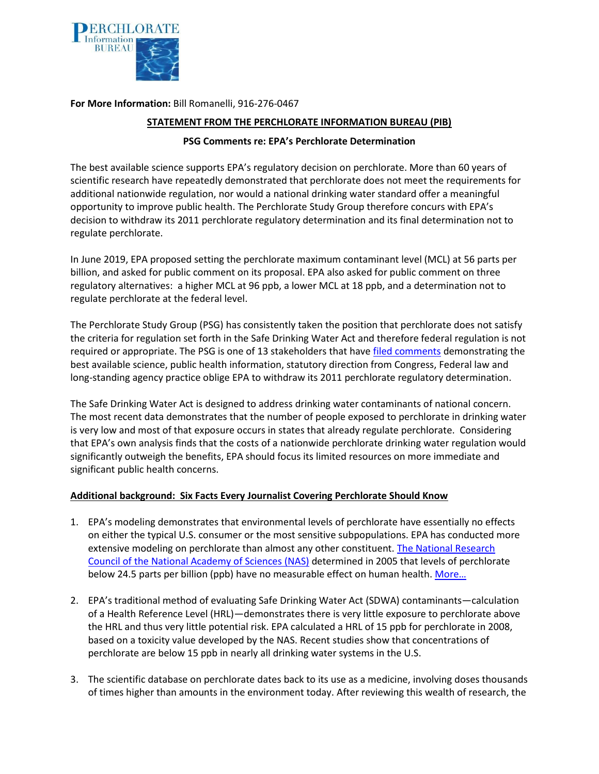

**For More Information:** Bill Romanelli, 916-276-0467

## **STATEMENT FROM THE PERCHLORATE INFORMATION BUREAU (PIB)**

## **PSG Comments re: EPA's Perchlorate Determination**

The best available science supports EPA's regulatory decision on perchlorate. More than 60 years of scientific research have repeatedly demonstrated that perchlorate does not meet the requirements for additional nationwide regulation, nor would a national drinking water standard offer a meaningful opportunity to improve public health. The Perchlorate Study Group therefore concurs with EPA's decision to withdraw its 2011 perchlorate regulatory determination and its final determination not to regulate perchlorate.

In June 2019, EPA proposed setting the perchlorate maximum contaminant level (MCL) at 56 parts per billion, and asked for public comment on its proposal. EPA also asked for public comment on three regulatory alternatives: a higher MCL at 96 ppb, a lower MCL at 18 ppb, and a determination not to regulate perchlorate at the federal level.

The Perchlorate Study Group (PSG) has consistently taken the position that perchlorate does not satisfy the criteria for regulation set forth in the Safe Drinking Water Act and therefore federal regulation is not required or appropriate. The PSG is one of 13 stakeholders that have [filed comments](https://www.regulations.gov/docketBrowser?rpp=25&so=DESC&sb=commentDueDate&po=0&dct=PS&D=EPA-HQ-OW-2018-0780) demonstrating the best available science, public health information, statutory direction from Congress, Federal law and long-standing agency practice oblige EPA to withdraw its 2011 perchlorate regulatory determination.

The Safe Drinking Water Act is designed to address drinking water contaminants of national concern. The most recent data demonstrates that the number of people exposed to perchlorate in drinking water is very low and most of that exposure occurs in states that already regulate perchlorate. Considering that EPA's own analysis finds that the costs of a nationwide perchlorate drinking water regulation would significantly outweigh the benefits, EPA should focus its limited resources on more immediate and significant public health concerns.

## **Additional background: Six Facts Every Journalist Covering Perchlorate Should Know**

- 1. EPA's modeling demonstrates that environmental levels of perchlorate have essentially no effects on either the typical U.S. consumer or the most sensitive subpopulations. EPA has conducted more extensive modeling on perchlorate than almost any other constituent. The National Research [Council of the National Academy of Sciences \(NAS\)](https://www.nap.edu/catalog/11202/health-implications-of-perchlorate-ingestion) determined in 2005 that levels of perchlorate below 24.5 parts per billion (ppb) have no measurable effect on human health. More...
- 2. EPA's traditional method of evaluating Safe Drinking Water Act (SDWA) contaminants—calculation of a Health Reference Level (HRL)—demonstrates there is very little exposure to perchlorate above the HRL and thus very little potential risk. EPA calculated a HRL of 15 ppb for perchlorate in 2008, based on a toxicity value developed by the NAS. Recent studies show that concentrations of perchlorate are below 15 ppb in nearly all drinking water systems in the U.S.
- 3. The scientific database on perchlorate dates back to its use as a medicine, involving doses thousands of times higher than amounts in the environment today. After reviewing this wealth of research, the